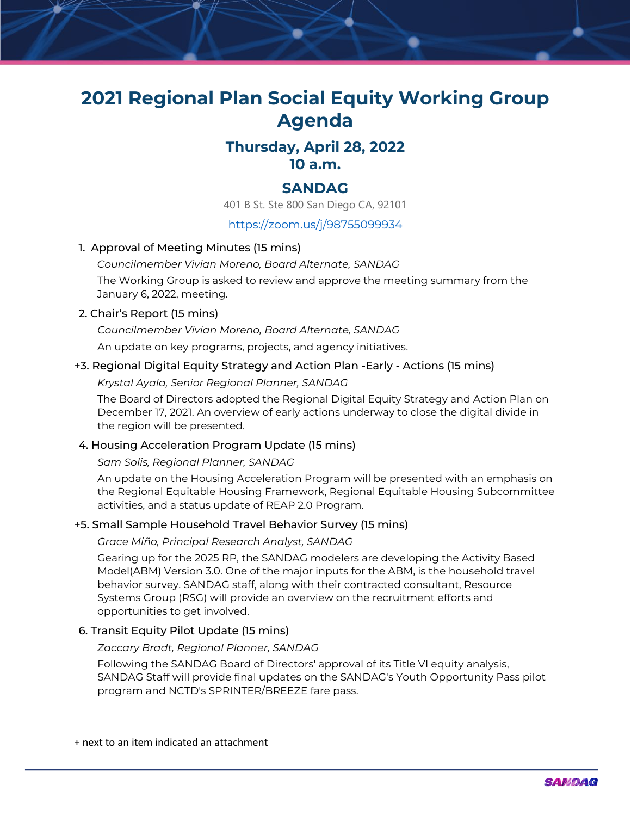# **2021 Regional Plan Social Equity Working Group Agenda**

# **Thursday, April 28, 2022 10 a.m.**

## **SANDAG**

401 B St. Ste 800 San Diego CA, 92101

<https://zoom.us/j/98755099934>

### 1. Approval of Meeting Minutes (15 mins)

*Councilmember Vivian Moreno, Board Alternate, SANDAG*

The Working Group is asked to review and approve the meeting summary from the January 6, 2022, meeting.

#### 2. Chair's Report (15 mins)

*Councilmember Vivian Moreno, Board Alternate, SANDAG*

An update on key programs, projects, and agency initiatives.

### +3. Regional Digital Equity Strategy and Action Plan -Early - Actions (15 mins)

*Krystal Ayala, Senior Regional Planner, SANDAG*

The Board of Directors adopted the Regional Digital Equity Strategy and Action Plan on December 17, 2021. An overview of early actions underway to close the digital divide in the region will be presented.

#### 4. Housing Acceleration Program Update (15 mins)

#### *Sam Solis, Regional Planner, SANDAG*

An update on the Housing Acceleration Program will be presented with an emphasis on the Regional Equitable Housing Framework, Regional Equitable Housing Subcommittee activities, and a status update of REAP 2.0 Program.

#### +5. Small Sample Household Travel Behavior Survey (15 mins)

*Grace Miño, Principal Research Analyst, SANDAG*

Gearing up for the 2025 RP, the SANDAG modelers are developing the Activity Based Model(ABM) Version 3.0. One of the major inputs for the ABM, is the household travel behavior survey. SANDAG staff, along with their contracted consultant, Resource Systems Group (RSG) will provide an overview on the recruitment efforts and opportunities to get involved.

#### 6. Transit Equity Pilot Update (15 mins)

#### *Zaccary Bradt, Regional Planner, SANDAG*

Following the SANDAG Board of Directors' approval of its Title VI equity analysis, SANDAG Staff will provide final updates on the SANDAG's Youth Opportunity Pass pilot program and NCTD's SPRINTER/BREEZE fare pass.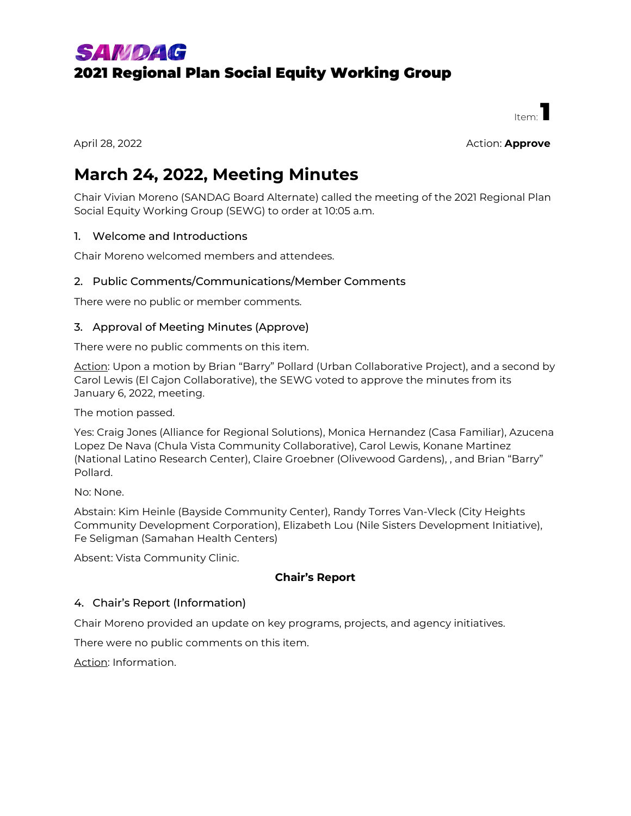# **SAMDAG** 2021 Regional Plan Social Equity Working Group

 $H_{\text{1}+m}$ .

April 28, 2022 Action: **Approve**

# **March 24, 2022, Meeting Minutes**

Chair Vivian Moreno (SANDAG Board Alternate) called the meeting of the 2021 Regional Plan Social Equity Working Group (SEWG) to order at 10:05 a.m.

#### 1. Welcome and Introductions

Chair Moreno welcomed members and attendees.

### 2. Public Comments/Communications/Member Comments

There were no public or member comments.

### 3. Approval of Meeting Minutes (Approve)

There were no public comments on this item.

Action: Upon a motion by Brian "Barry" Pollard (Urban Collaborative Project), and a second by Carol Lewis (El Cajon Collaborative), the SEWG voted to approve the minutes from its January 6, 2022, meeting.

The motion passed.

Yes: Craig Jones (Alliance for Regional Solutions), Monica Hernandez (Casa Familiar), Azucena Lopez De Nava (Chula Vista Community Collaborative), Carol Lewis, Konane Martinez (National Latino Research Center), Claire Groebner (Olivewood Gardens), , and Brian "Barry" Pollard.

No: None.

Abstain: Kim Heinle (Bayside Community Center), Randy Torres Van-Vleck (City Heights Community Development Corporation), Elizabeth Lou (Nile Sisters Development Initiative), Fe Seligman (Samahan Health Centers)

Absent: Vista Community Clinic.

## **Chair's Report**

#### 4. Chair's Report (Information)

Chair Moreno provided an update on key programs, projects, and agency initiatives.

There were no public comments on this item.

Action: Information.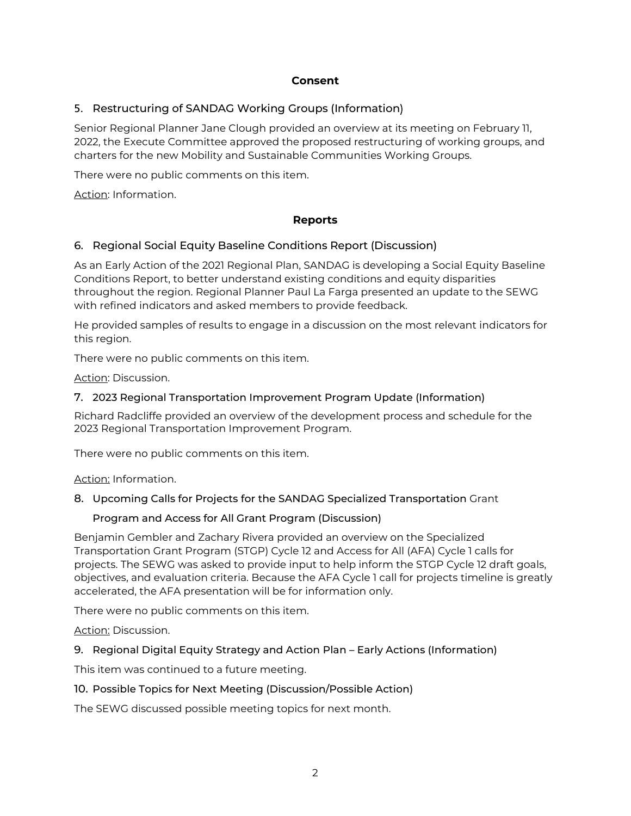#### **Consent**

### 5. Restructuring of SANDAG Working Groups (Information)

Senior Regional Planner Jane Clough provided an overview at its meeting on February 11, 2022, the Execute Committee approved the proposed restructuring of working groups, and charters for the new Mobility and Sustainable Communities Working Groups.

There were no public comments on this item.

Action: Information.

#### **Reports**

#### 6. Regional Social Equity Baseline Conditions Report (Discussion)

As an Early Action of the 2021 Regional Plan, SANDAG is developing a Social Equity Baseline Conditions Report, to better understand existing conditions and equity disparities throughout the region. Regional Planner Paul La Farga presented an update to the SEWG with refined indicators and asked members to provide feedback.

He provided samples of results to engage in a discussion on the most relevant indicators for this region.

There were no public comments on this item.

Action: Discussion.

#### 7. 2023 Regional Transportation Improvement Program Update (Information)

Richard Radcliffe provided an overview of the development process and schedule for the 2023 Regional Transportation Improvement Program.

There were no public comments on this item.

Action: Information.

#### 8. Upcoming Calls for Projects for the SANDAG Specialized Transportation Grant

#### Program and Access for All Grant Program (Discussion)

Benjamin Gembler and Zachary Rivera provided an overview on the Specialized Transportation Grant Program (STGP) Cycle 12 and Access for All (AFA) Cycle 1 calls for projects. The SEWG was asked to provide input to help inform the STGP Cycle 12 draft goals, objectives, and evaluation criteria. Because the AFA Cycle 1 call for projects timeline is greatly accelerated, the AFA presentation will be for information only.

There were no public comments on this item.

Action: Discussion.

#### 9. Regional Digital Equity Strategy and Action Plan – Early Actions (Information)

This item was continued to a future meeting.

#### 10. Possible Topics for Next Meeting (Discussion/Possible Action)

The SEWG discussed possible meeting topics for next month.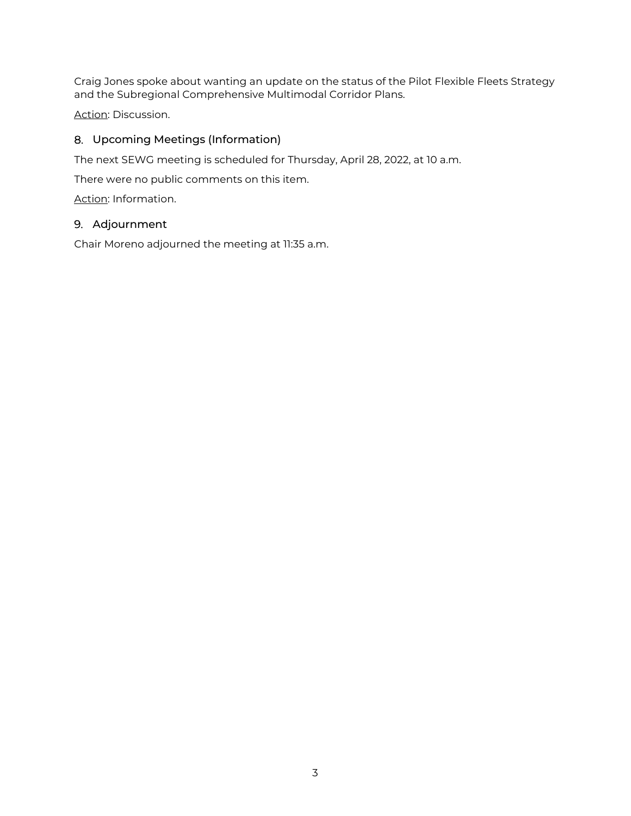Craig Jones spoke about wanting an update on the status of the Pilot Flexible Fleets Strategy and the Subregional Comprehensive Multimodal Corridor Plans.

Action: Discussion.

### 8. Upcoming Meetings (Information)

The next SEWG meeting is scheduled for Thursday, April 28, 2022, at 10 a.m.

There were no public comments on this item.

Action: Information.

#### 9. Adjournment

Chair Moreno adjourned the meeting at 11:35 a.m.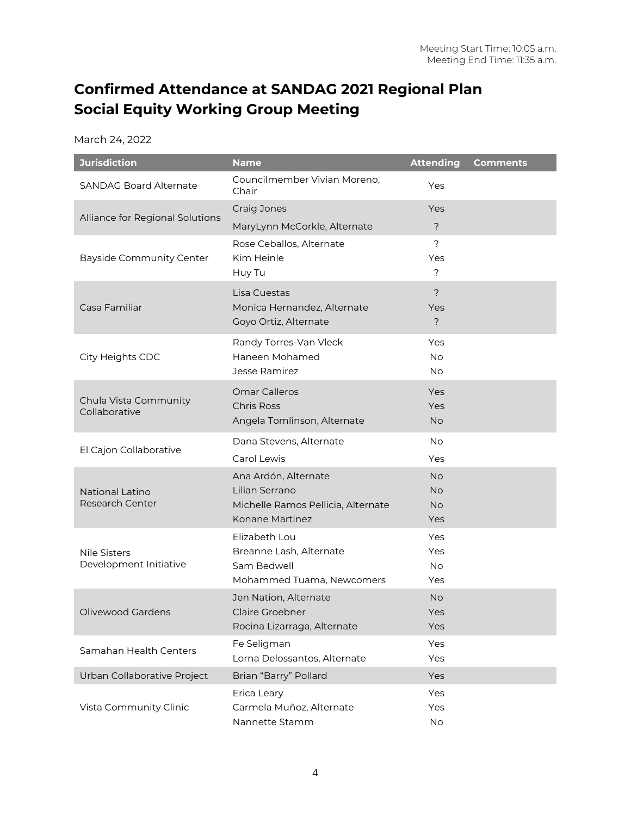# **Confirmed Attendance at SANDAG 2021 Regional Plan Social Equity Working Group Meeting**

March 24, 2022

| <b>Jurisdiction</b>                              | <b>Name</b>                                | <b>Attending</b> | <b>Comments</b> |
|--------------------------------------------------|--------------------------------------------|------------------|-----------------|
| <b>SANDAG Board Alternate</b>                    | Councilmember Vivian Moreno,<br>Chair      | Yes              |                 |
| Alliance for Regional Solutions                  | Craig Jones                                | Yes              |                 |
|                                                  | MaryLynn McCorkle, Alternate               | $\overline{?}$   |                 |
| <b>Bayside Community Center</b>                  | Rose Ceballos, Alternate                   | $\overline{?}$   |                 |
|                                                  | Kim Heinle                                 | Yes              |                 |
|                                                  | Huy Tu                                     | $\tilde{?}$      |                 |
| Casa Familiar                                    | Lisa Cuestas                               | $\overline{?}$   |                 |
|                                                  | Monica Hernandez, Alternate                | Yes              |                 |
|                                                  | Goyo Ortiz, Alternate                      | $\overline{?}$   |                 |
| City Heights CDC                                 | Randy Torres-Van Vleck                     | Yes              |                 |
|                                                  | Haneen Mohamed<br>Jesse Ramirez            | <b>No</b><br>No  |                 |
|                                                  |                                            |                  |                 |
| Chula Vista Community<br>Collaborative           | <b>Omar Calleros</b><br><b>Chris Ross</b>  | Yes<br>Yes       |                 |
|                                                  | Angela Tomlinson, Alternate                | <b>No</b>        |                 |
|                                                  | Dana Stevens, Alternate                    | No               |                 |
| El Cajon Collaborative                           | Carol Lewis                                | Yes              |                 |
|                                                  | Ana Ardón, Alternate                       | <b>No</b>        |                 |
| <b>National Latino</b><br><b>Research Center</b> | Lilian Serrano                             | <b>No</b>        |                 |
|                                                  | Michelle Ramos Pellicia, Alternate         | <b>No</b>        |                 |
|                                                  | Konane Martinez                            | Yes              |                 |
| <b>Nile Sisters</b><br>Development Initiative    | Elizabeth Lou                              | Yes              |                 |
|                                                  | Breanne Lash, Alternate                    | Yes              |                 |
|                                                  | Sam Bedwell<br>Mohammed Tuama, Newcomers   | <b>No</b><br>Yes |                 |
| Olivewood Gardens                                | Jen Nation, Alternate                      | <b>No</b>        |                 |
|                                                  | Claire Groebner                            | Yes              |                 |
|                                                  | Rocina Lizarraga, Alternate                | Yes              |                 |
| Samahan Health Centers                           | Fe Seligman                                | Yes              |                 |
|                                                  | Lorna Delossantos, Alternate               | Yes              |                 |
| Urban Collaborative Project                      | Brian "Barry" Pollard                      | Yes              |                 |
| Vista Community Clinic                           | Erica Leary                                | Yes              |                 |
|                                                  | Carmela Muñoz, Alternate<br>Nannette Stamm | Yes<br>No        |                 |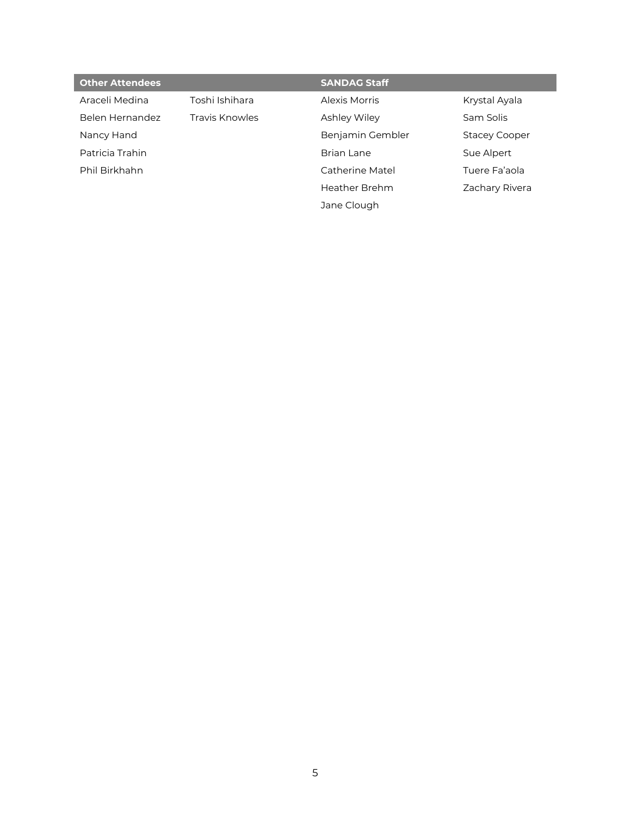|                | <b>SANDAG Staff</b> |                      |
|----------------|---------------------|----------------------|
| Toshi Ishihara | Alexis Morris       | Krystal Ayala        |
| Travis Knowles | Ashley Wiley        | Sam Solis            |
|                | Benjamin Gembler    | <b>Stacey Cooper</b> |
|                | Brian Lane          | Sue Alpert           |
|                | Catherine Matel     | Tuere Fa'aola        |
|                | Heather Brehm       | Zachary Rivera       |
|                | Jane Clough         |                      |
|                |                     |                      |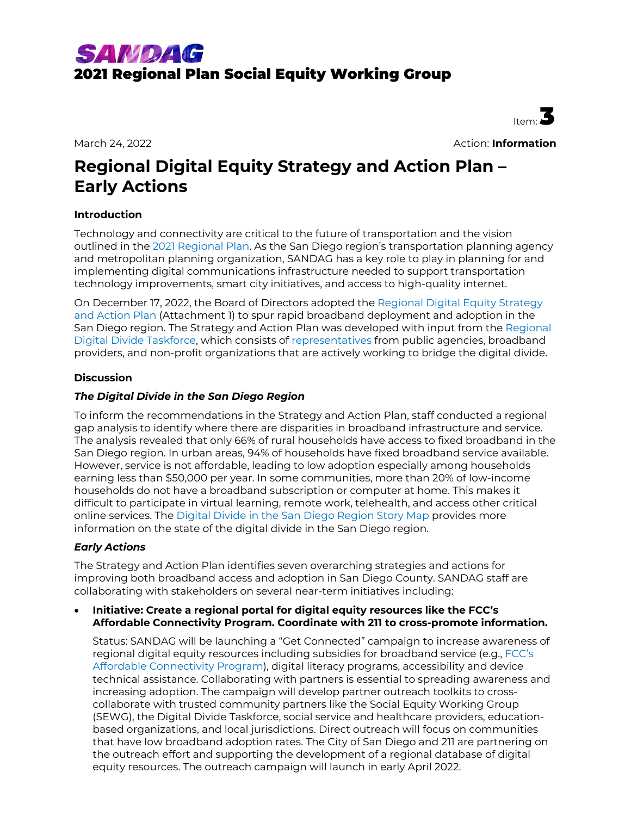

March 24, 2022 Action: **Information**

Item<sup>:</sup>

# **Regional Digital Equity Strategy and Action Plan – Early Actions**

#### **Introduction**

Technology and connectivity are critical to the future of transportation and the vision outlined in the [2021 Regional Plan.](https://sdforward.com/mobility-planning/2021-regional-plan) As the San Diego region's transportation planning agency and metropolitan planning organization, SANDAG has a key role to play in planning for and implementing digital communications infrastructure needed to support transportation technology improvements, smart city initiatives, and access to high-quality internet.

On December 17, 2022, the Board of Directors adopted the [Regional Digital Equity Strategy](https://www.sandag.org/uploads/projectid/projectid_614_31273.pdf)  [and Action Plan](https://www.sandag.org/uploads/projectid/projectid_614_31273.pdf) (Attachment 1) to spur rapid broadband deployment and adoption in the San Diego region. The Strategy and Action Plan was developed with input from the [Regional](https://www.sandag.org/index.asp?committeeid=124&fuseaction=committees.detail)  [Digital Divide Taskforce,](https://www.sandag.org/index.asp?committeeid=124&fuseaction=committees.detail) which consists of [representatives](https://www.sandag.org/uploads/committeeid/committeeid_124_29187.pdf) from public agencies, broadband providers, and non-profit organizations that are actively working to bridge the digital divide.

#### **Discussion**

#### *The Digital Divide in the San Diego Region*

To inform the recommendations in the Strategy and Action Plan, staff conducted a regional gap analysis to identify where there are disparities in broadband infrastructure and service. The analysis revealed that only 66% of rural households have access to fixed broadband in the San Diego region. In urban areas, 94% of households have fixed broadband service available. However, service is not affordable, leading to low adoption especially among households earning less than \$50,000 per year. In some communities, more than 20% of low-income households do not have a broadband subscription or computer at home. This makes it difficult to participate in virtual learning, remote work, telehealth, and access other critical online services. The [Digital Divide in the San Diego Region](https://storymaps.arcgis.com/stories/f204b9b88ea4483b8a0d46c8d099c3a7) Story Map provides more information on the state of the digital divide in the San Diego region.

#### *Early Actions*

The Strategy and Action Plan identifies seven overarching strategies and actions for improving both broadband access and adoption in San Diego County. SANDAG staff are collaborating with stakeholders on several near-term initiatives including:

#### • **Initiative: Create a regional portal for digital equity resources like the FCC's Affordable Connectivity Program. Coordinate with 211 to cross-promote information.**

Status: SANDAG will be launching a "Get Connected" campaign to increase awareness of regional digital equity resources including subsidies for broadband service (e.g., [FCC's](https://www.fcc.gov/affordable-connectivity-program) [Affordable Connectivity Program\)](https://www.fcc.gov/affordable-connectivity-program), digital literacy programs, accessibility and device technical assistance. Collaborating with partners is essential to spreading awareness and increasing adoption. The campaign will develop partner outreach toolkits to crosscollaborate with trusted community partners like the Social Equity Working Group (SEWG), the Digital Divide Taskforce, social service and healthcare providers, educationbased organizations, and local jurisdictions. Direct outreach will focus on communities that have low broadband adoption rates. The City of San Diego and 211 are partnering on the outreach effort and supporting the development of a regional database of digital equity resources. The outreach campaign will launch in early April 2022.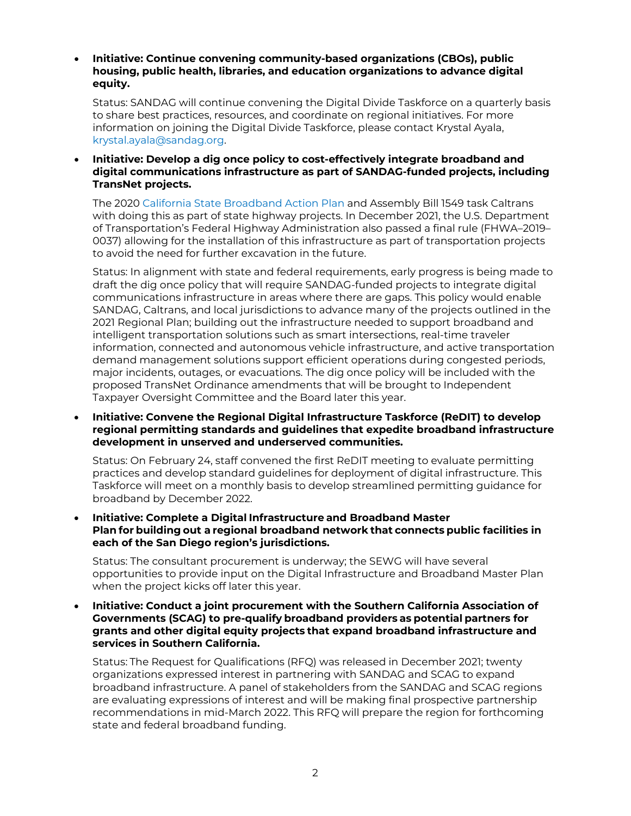• **Initiative: Continue convening community-based organizations (CBOs), public housing, public health, libraries, and education organizations to advance digital equity.**

Status: SANDAG will continue convening the Digital Divide Taskforce on a quarterly basis to share best practices, resources, and coordinate on regional initiatives. For more information on joining the Digital Divide Taskforce, please contact Krystal Ayala, [krystal.ayala@sandag.org.](mailto:krystal.ayala@sandag.org)

• **Initiative: Develop a dig once policy to cost-effectively integrate broadband and digital communications infrastructure as part of SANDAG-funded projects, including TransNet projects.**

The 2020 [California State Broadband Action Plan](https://broadbandcouncil.ca.gov/wp-content/uploads/sites/68/2020/12/BB4All-Action-Plan-Final.pdf) and Assembly Bill 1549 task Caltrans with doing this as part of state highway projects. In December 2021, the U.S. Department of Transportation's Federal Highway Administration also passed a final rule (FHWA–2019– 0037) allowing for the installation of this infrastructure as part of transportation projects to avoid the need for further excavation in the future.

Status: In alignment with state and federal requirements, early progress is being made to draft the dig once policy that will require SANDAG-funded projects to integrate digital communications infrastructure in areas where there are gaps. This policy would enable SANDAG, Caltrans, and local jurisdictions to advance many of the projects outlined in the 2021 Regional Plan; building out the infrastructure needed to support broadband and intelligent transportation solutions such as smart intersections, real-time traveler information, connected and autonomous vehicle infrastructure, and active transportation demand management solutions support efficient operations during congested periods, major incidents, outages, or evacuations. The dig once policy will be included with the proposed TransNet Ordinance amendments that will be brought to Independent Taxpayer Oversight Committee and the Board later this year.

• **Initiative: Convene the Regional Digital Infrastructure Taskforce (ReDIT) to develop regional permitting standards and guidelines that expedite broadband infrastructure development in unserved and underserved communities.**

Status: On February 24, staff convened the first ReDIT meeting to evaluate permitting practices and develop standard guidelines for deployment of digital infrastructure. This Taskforce will meet on a monthly basis to develop streamlined permitting guidance for broadband by December 2022.

• **Initiative: Complete a Digital Infrastructure and Broadband Master Plan for building out a regional broadband network that connects public facilities in each of the San Diego region's jurisdictions.**

Status: The consultant procurement is underway; the SEWG will have several opportunities to provide input on the Digital Infrastructure and Broadband Master Plan when the project kicks off later this year.

• **Initiative: Conduct a joint procurement with the Southern California Association of Governments (SCAG) to pre-qualify broadband providers as potential partners for grants and other digital equity projects that expand broadband infrastructure and services in Southern California.**

Status: The Request for Qualifications (RFQ) was released in December 2021; twenty organizations expressed interest in partnering with SANDAG and SCAG to expand broadband infrastructure. A panel of stakeholders from the SANDAG and SCAG regions are evaluating expressions of interest and will be making final prospective partnership recommendations in mid-March 2022. This RFQ will prepare the region for forthcoming state and federal broadband funding.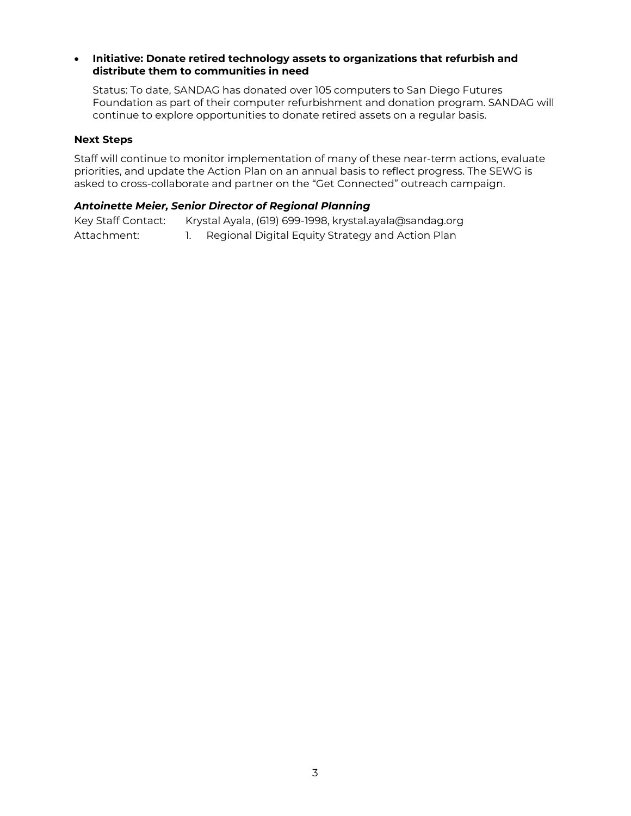#### • **Initiative: Donate retired technology assets to organizations that refurbish and distribute them to communities in need**

Status: To date, SANDAG has donated over 105 computers to San Diego Futures Foundation as part of their computer refurbishment and donation program. SANDAG will continue to explore opportunities to donate retired assets on a regular basis.

#### **Next Steps**

Staff will continue to monitor implementation of many of these near-term actions, evaluate priorities, and update the Action Plan on an annual basis to reflect progress. The SEWG is asked to cross-collaborate and partner on the "Get Connected" outreach campaign.

#### *Antoinette Meier, Senior Director of Regional Planning*

Key Staff Contact: Krystal Ayala, (619) 699-1998, krystal.ayala@sandag.org Attachment: 1. Regional Digital Equity Strategy and Action Plan